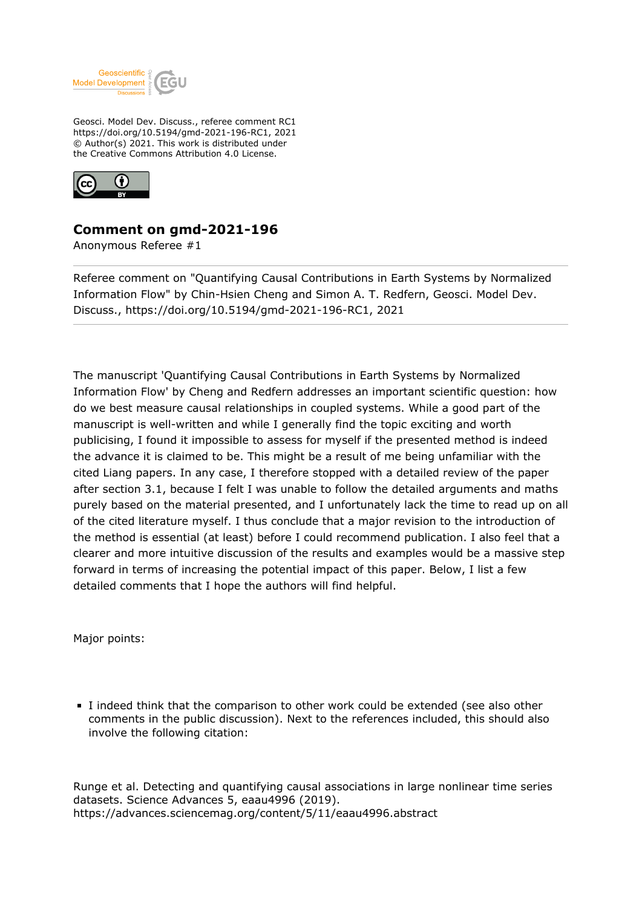

Geosci. Model Dev. Discuss., referee comment RC1 https://doi.org/10.5194/gmd-2021-196-RC1, 2021 © Author(s) 2021. This work is distributed under the Creative Commons Attribution 4.0 License.



## **Comment on gmd-2021-196**

Anonymous Referee #1

Referee comment on "Quantifying Causal Contributions in Earth Systems by Normalized Information Flow" by Chin-Hsien Cheng and Simon A. T. Redfern, Geosci. Model Dev. Discuss., https://doi.org/10.5194/gmd-2021-196-RC1, 2021

The manuscript 'Quantifying Causal Contributions in Earth Systems by Normalized Information Flow' by Cheng and Redfern addresses an important scientific question: how do we best measure causal relationships in coupled systems. While a good part of the manuscript is well-written and while I generally find the topic exciting and worth publicising, I found it impossible to assess for myself if the presented method is indeed the advance it is claimed to be. This might be a result of me being unfamiliar with the cited Liang papers. In any case, I therefore stopped with a detailed review of the paper after section 3.1, because I felt I was unable to follow the detailed arguments and maths purely based on the material presented, and I unfortunately lack the time to read up on all of the cited literature myself. I thus conclude that a major revision to the introduction of the method is essential (at least) before I could recommend publication. I also feel that a clearer and more intuitive discussion of the results and examples would be a massive step forward in terms of increasing the potential impact of this paper. Below, I list a few detailed comments that I hope the authors will find helpful.

Major points:

I indeed think that the comparison to other work could be extended (see also other comments in the public discussion). Next to the references included, this should also involve the following citation:

Runge et al. Detecting and quantifying causal associations in large nonlinear time series datasets. Science Advances 5, eaau4996 (2019). https://advances.sciencemag.org/content/5/11/eaau4996.abstract